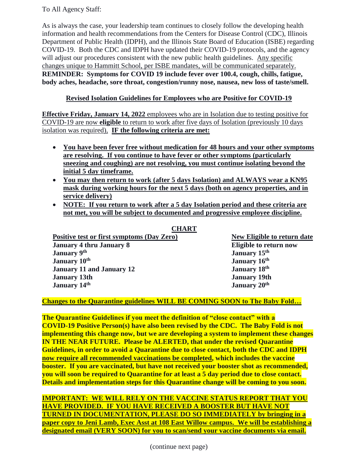To All Agency Staff:

As is always the case, your leadership team continues to closely follow the developing health information and health recommendations from the Centers for Disease Control (CDC), Illinois Department of Public Health (IDPH), and the Illinois State Board of Education (ISBE) regarding COVID-19. Both the CDC and IDPH have updated their COVID-19 protocols, and the agency will adjust our procedures consistent with the new public health guidelines. Any specific changes unique to Hammitt School, per ISBE mandates, will be communicated separately. **REMINDER: Symptoms for COVID 19 include fever over 100.4, cough, chills, fatigue, body aches, headache, sore throat, congestion/runny nose, nausea, new loss of taste/smell.**

## **Revised Isolation Guidelines for Employees who are Positive for COVID-19**

**Effective Friday, January 14, 2022** employees who are in Isolation due to testing positive for COVID-19 are now **eligible** to return to work after five days of Isolation (previously 10 days isolation was required), **IF the following criteria are met:**

- **You have been fever free without medication for 48 hours and your other symptoms are resolving. If you continue to have fever or other symptoms (particularly sneezing and coughing) are not resolving, you must continue isolating beyond the initial 5 day timeframe.**
- **You may then return to work (after 5 days Isolation) and ALWAYS wear a KN95 mask during working hours for the next 5 days (both on agency properties, and in service delivery)**
- **NOTE: If you return to work after a 5 day Isolation period and these criteria are not met, you will be subject to documented and progressive employee discipline.**

## **CHART**

**Positive test or first symptoms (Day Zero) New Eligible to return date January 4 thru January 8 Eligible to return now January 9th January 15th January 10th January 16th January 11 and January 12 January 18th January 13th January 19th January 14th January 20th**

## **Changes to the Quarantine guidelines WILL BE COMING SOON to The Baby Fold…**

**The Quarantine Guidelines if you meet the definition of "close contact" with a COVID-19 Positive Person(s) have also been revised by the CDC. The Baby Fold is not implementing this change now, but we are developing a system to implement these changes IN THE NEAR FUTURE. Please be ALERTED, that under the revised Quarantine Guidelines, in order to avoid a Quarantine due to close contact, both the CDC and IDPH now require all recommended vaccinations be completed, which includes the vaccine booster. If you are vaccinated, but have not received your booster shot as recommended, you will soon be required to Quarantine for at least a 5 day period due to close contact. Details and implementation steps for this Quarantine change will be coming to you soon.** 

**IMPORTANT: WE WILL RELY ON THE VACCINE STATUS REPORT THAT YOU HAVE PROVIDED. IF YOU HAVE RECEIVED A BOOSTER BUT HAVE NOT TURNED IN DOCUMENTATION, PLEASE DO SO IMMEDIATELY by bringing in a paper copy to Jeni Lamb, Exec Asst at 108 East Willow campus. We will be establishing a designated email (VERY SOON) for you to scan/send your vaccine documents via email.**